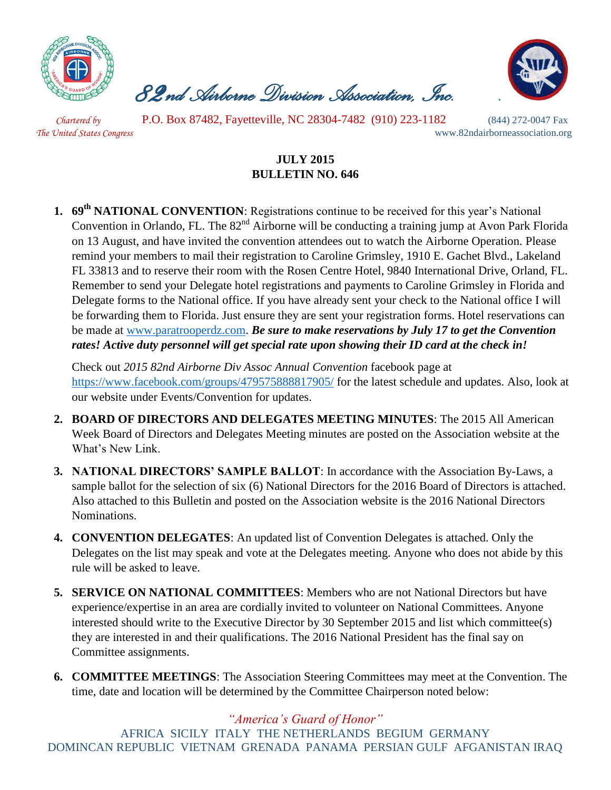

 *82nd Airborne Division Association, Inc. .* 



 *Chartered by* P.O. Box 87482, Fayetteville, NC 28304-7482 (910) 223-1182 (844) 272-0047 Fax *The United States Congress* www.82ndairborneassociation.org

## **JULY 2015 BULLETIN NO. 646**

**1. 69th NATIONAL CONVENTION**: Registrations continue to be received for this year's National Convention in Orlando, FL. The 82<sup>nd</sup> Airborne will be conducting a training jump at Avon Park Florida on 13 August, and have invited the convention attendees out to watch the Airborne Operation. Please remind your members to mail their registration to Caroline Grimsley, 1910 E. Gachet Blvd., Lakeland FL 33813 and to reserve their room with the Rosen Centre Hotel, 9840 International Drive, Orland, FL. Remember to send your Delegate hotel registrations and payments to Caroline Grimsley in Florida and Delegate forms to the National office. If you have already sent your check to the National office I will be forwarding them to Florida. Just ensure they are sent your registration forms. Hotel reservations can be made at [www.paratrooperdz.com.](http://www.paratrooperdz.com/) *Be sure to make reservations by July 17 to get the Convention rates! Active duty personnel will get special rate upon showing their ID card at the check in!*

Check out *2015 82nd Airborne Div Assoc Annual Convention* facebook page at <https://www.facebook.com/groups/479575888817905/> for the latest schedule and updates. Also, look at our website under Events/Convention for updates.

- **2. BOARD OF DIRECTORS AND DELEGATES MEETING MINUTES**: The 2015 All American Week Board of Directors and Delegates Meeting minutes are posted on the Association website at the What's New Link.
- **3. NATIONAL DIRECTORS' SAMPLE BALLOT**: In accordance with the Association By-Laws, a sample ballot for the selection of six (6) National Directors for the 2016 Board of Directors is attached. Also attached to this Bulletin and posted on the Association website is the 2016 National Directors Nominations.
- **4. CONVENTION DELEGATES**: An updated list of Convention Delegates is attached. Only the Delegates on the list may speak and vote at the Delegates meeting. Anyone who does not abide by this rule will be asked to leave.
- **5. SERVICE ON NATIONAL COMMITTEES**: Members who are not National Directors but have experience/expertise in an area are cordially invited to volunteer on National Committees. Anyone interested should write to the Executive Director by 30 September 2015 and list which committee(s) they are interested in and their qualifications. The 2016 National President has the final say on Committee assignments.
- **6. COMMITTEE MEETINGS**: The Association Steering Committees may meet at the Convention. The time, date and location will be determined by the Committee Chairperson noted below:

*"America's Guard of Honor"* AFRICA SICILY ITALY THE NETHERLANDS BEGIUM GERMANY DOMINCAN REPUBLIC VIETNAM GRENADA PANAMA PERSIAN GULF AFGANISTAN IRAQ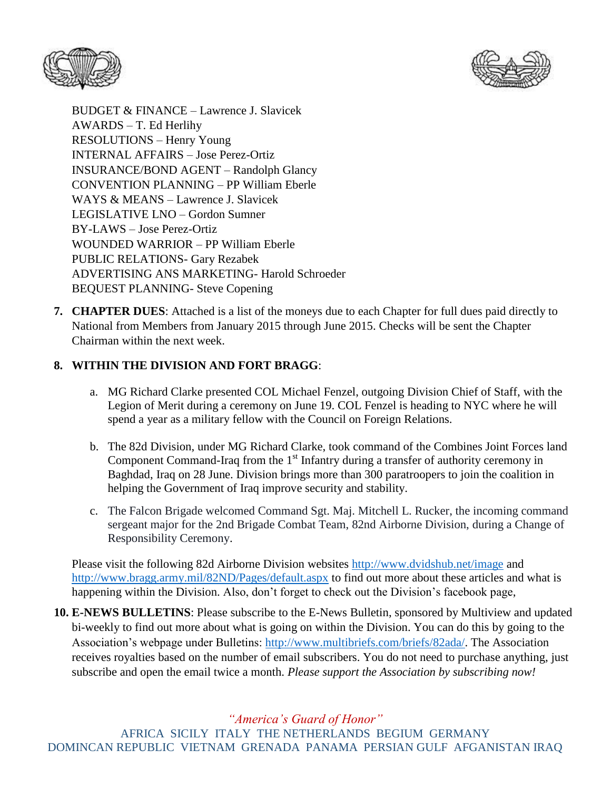



BUDGET & FINANCE – Lawrence J. Slavicek AWARDS – T. Ed Herlihy RESOLUTIONS – Henry Young INTERNAL AFFAIRS – Jose Perez-Ortiz INSURANCE/BOND AGENT – Randolph Glancy CONVENTION PLANNING – PP William Eberle WAYS & MEANS – Lawrence J. Slavicek LEGISLATIVE LNO – Gordon Sumner BY-LAWS – Jose Perez-Ortiz WOUNDED WARRIOR – PP William Eberle PUBLIC RELATIONS- Gary Rezabek ADVERTISING ANS MARKETING- Harold Schroeder BEQUEST PLANNING- Steve Copening

**7. CHAPTER DUES**: Attached is a list of the moneys due to each Chapter for full dues paid directly to National from Members from January 2015 through June 2015. Checks will be sent the Chapter Chairman within the next week.

## **8. WITHIN THE DIVISION AND FORT BRAGG**:

- a. MG Richard Clarke presented COL Michael Fenzel, outgoing Division Chief of Staff, with the Legion of Merit during a ceremony on June 19. COL Fenzel is heading to NYC where he will spend a year as a military fellow with the Council on Foreign Relations.
- b. The 82d Division, under MG Richard Clarke, took command of the Combines Joint Forces land Component Command-Iraq from the  $1<sup>st</sup>$  Infantry during a transfer of authority ceremony in Baghdad, Iraq on 28 June. Division brings more than 300 paratroopers to join the coalition in helping the Government of Iraq improve security and stability.
- c. The Falcon Brigade welcomed Command Sgt. Maj. Mitchell L. Rucker, the incoming command sergeant major for the 2nd Brigade Combat Team, 82nd Airborne Division, during a Change of Responsibility Ceremony.

Please visit the following 82d Airborne Division websites<http://www.dvidshub.net/image> and <http://www.bragg.army.mil/82ND/Pages/default.aspx> to find out more about these articles and what is happening within the Division. Also, don't forget to check out the Division's facebook page,

**10. E-NEWS BULLETINS**: Please subscribe to the E-News Bulletin, sponsored by Multiview and updated bi-weekly to find out more about what is going on within the Division. You can do this by going to the Association's webpage under Bulletins: [http://www.multibriefs.com/briefs/82ada/.](http://www.multibriefs.com/briefs/82ada/) The Association receives royalties based on the number of email subscribers. You do not need to purchase anything, just subscribe and open the email twice a month. *Please support the Association by subscribing now!*

*"America's Guard of Honor"*

AFRICA SICILY ITALY THE NETHERLANDS BEGIUM GERMANY DOMINCAN REPUBLIC VIETNAM GRENADA PANAMA PERSIAN GULF AFGANISTAN IRAQ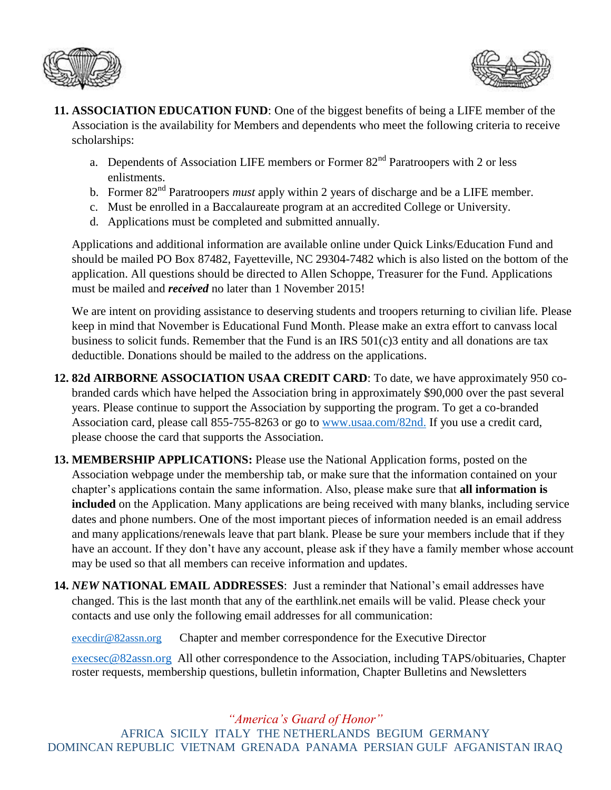



- **11. ASSOCIATION EDUCATION FUND**: One of the biggest benefits of being a LIFE member of the Association is the availability for Members and dependents who meet the following criteria to receive scholarships:
	- a. Dependents of Association LIFE members or Former  $82<sup>nd</sup>$  Paratroopers with 2 or less enlistments.
	- b. Former 82<sup>nd</sup> Paratroopers *must* apply within 2 years of discharge and be a LIFE member.
	- c. Must be enrolled in a Baccalaureate program at an accredited College or University.
	- d. Applications must be completed and submitted annually.

Applications and additional information are available online under Quick Links/Education Fund and should be mailed PO Box 87482, Fayetteville, NC 29304-7482 which is also listed on the bottom of the application. All questions should be directed to Allen Schoppe, Treasurer for the Fund. Applications must be mailed and *received* no later than 1 November 2015!

We are intent on providing assistance to deserving students and troopers returning to civilian life. Please keep in mind that November is Educational Fund Month. Please make an extra effort to canvass local business to solicit funds. Remember that the Fund is an IRS 501(c)3 entity and all donations are tax deductible. Donations should be mailed to the address on the applications.

- **12. 82d AIRBORNE ASSOCIATION USAA CREDIT CARD**: To date, we have approximately 950 cobranded cards which have helped the Association bring in approximately \$90,000 over the past several years. Please continue to support the Association by supporting the program. To get a co-branded Association card, please call 855-755-8263 or go to [www.usaa.com/82nd.](http://www.usaa.com/82nd) If you use a credit card, please choose the card that supports the Association.
- **13. MEMBERSHIP APPLICATIONS:** Please use the National Application forms, posted on the Association webpage under the membership tab, or make sure that the information contained on your chapter's applications contain the same information. Also, please make sure that **all information is included** on the Application. Many applications are being received with many blanks, including service dates and phone numbers. One of the most important pieces of information needed is an email address and many applications/renewals leave that part blank. Please be sure your members include that if they have an account. If they don't have any account, please ask if they have a family member whose account may be used so that all members can receive information and updates.
- **14.** *NEW* **NATIONAL EMAIL ADDRESSES**: Just a reminder that National's email addresses have changed. This is the last month that any of the earthlink.net emails will be valid. Please check your contacts and use only the following email addresses for all communication:

[execdir@82assn.org](mailto:execdir@82assn.org) Chapter and member correspondence for the Executive Director

[execsec@82assn.org](mailto:execsec@82assn.org) All other correspondence to the Association, including TAPS/obituaries, Chapter roster requests, membership questions, bulletin information, Chapter Bulletins and Newsletters

*"America's Guard of Honor"*

AFRICA SICILY ITALY THE NETHERLANDS BEGIUM GERMANY DOMINCAN REPUBLIC VIETNAM GRENADA PANAMA PERSIAN GULF AFGANISTAN IRAQ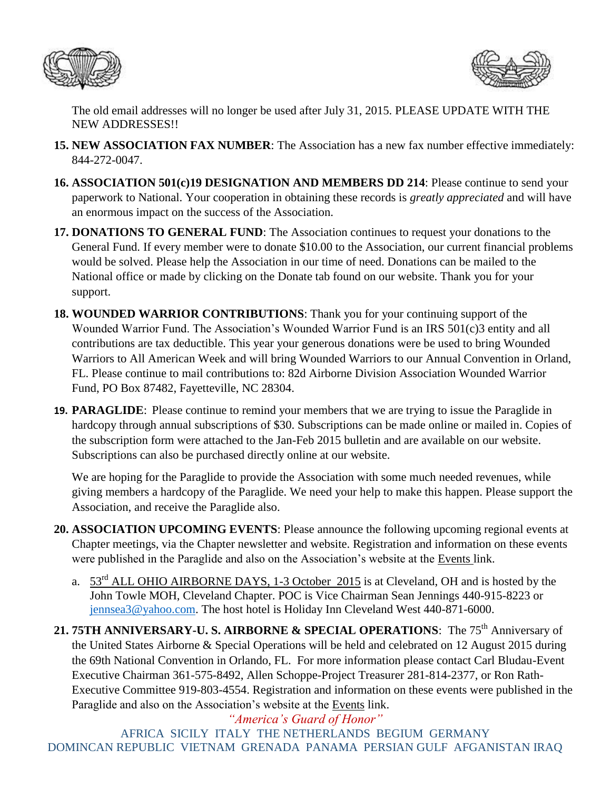



The old email addresses will no longer be used after July 31, 2015. PLEASE UPDATE WITH THE NEW ADDRESSES!!

- **15. NEW ASSOCIATION FAX NUMBER**: The Association has a new fax number effective immediately: 844-272-0047.
- **16. ASSOCIATION 501(c)19 DESIGNATION AND MEMBERS DD 214**: Please continue to send your paperwork to National. Your cooperation in obtaining these records is *greatly appreciated* and will have an enormous impact on the success of the Association.
- **17. DONATIONS TO GENERAL FUND**: The Association continues to request your donations to the General Fund. If every member were to donate \$10.00 to the Association, our current financial problems would be solved. Please help the Association in our time of need. Donations can be mailed to the National office or made by clicking on the Donate tab found on our website. Thank you for your support.
- **18. WOUNDED WARRIOR CONTRIBUTIONS**: Thank you for your continuing support of the Wounded Warrior Fund. The Association's Wounded Warrior Fund is an IRS 501(c)3 entity and all contributions are tax deductible. This year your generous donations were be used to bring Wounded Warriors to All American Week and will bring Wounded Warriors to our Annual Convention in Orland, FL. Please continue to mail contributions to: 82d Airborne Division Association Wounded Warrior Fund, PO Box 87482, Fayetteville, NC 28304.
- **19. PARAGLIDE**: Please continue to remind your members that we are trying to issue the Paraglide in hardcopy through annual subscriptions of \$30. Subscriptions can be made online or mailed in. Copies of the subscription form were attached to the Jan-Feb 2015 bulletin and are available on our website. Subscriptions can also be purchased directly online at our website.

We are hoping for the Paraglide to provide the Association with some much needed revenues, while giving members a hardcopy of the Paraglide. We need your help to make this happen. Please support the Association, and receive the Paraglide also.

- **20. ASSOCIATION UPCOMING EVENTS**: Please announce the following upcoming regional events at Chapter meetings, via the Chapter newsletter and website. Registration and information on these events were published in the Paraglide and also on the Association's website at the Events link.
	- a. 53rd ALL OHIO AIRBORNE DAYS, 1-3 October 2015 is at Cleveland, OH and is hosted by the John Towle MOH, Cleveland Chapter. POC is Vice Chairman Sean Jennings 440-915-8223 or [jennsea3@yahoo.com.](mailto:jennsea3@yahoo.com) The host hotel is Holiday Inn Cleveland West 440-871-6000.
- 21. 75TH ANNIVERSARY-U. S. AIRBORNE & SPECIAL OPERATIONS: The 75<sup>th</sup> Anniversary of the United States Airborne & Special Operations will be held and celebrated on 12 August 2015 during the 69th National Convention in Orlando, FL. For more information please contact Carl Bludau-Event Executive Chairman 361-575-8492, Allen Schoppe-Project Treasurer 281-814-2377, or Ron Rath-Executive Committee 919-803-4554. Registration and information on these events were published in the Paraglide and also on the Association's website at the Events link.

*"America's Guard of Honor"* AFRICA SICILY ITALY THE NETHERLANDS BEGIUM GERMANY DOMINCAN REPUBLIC VIETNAM GRENADA PANAMA PERSIAN GULF AFGANISTAN IRAQ